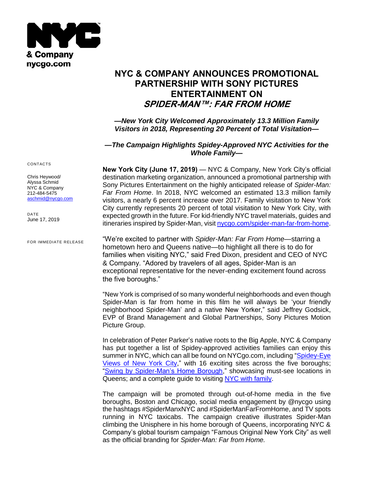

# **NYC & COMPANY ANNOUNCES PROMOTIONAL PARTNERSHIP WITH SONY PICTURES ENTERTAINMENT ON SPIDER-MAN™: FAR FROM HOME**

*—New York City Welcomed Approximately 13.3 Million Family Visitors in 2018, Representing 20 Percent of Total Visitation—*

## *—The Campaign Highlights Spidey-Approved NYC Activities for the Whole Family—*

**New York City (June 17, 2019)** — NYC & Company, New York City's official destination marketing organization, announced a promotional partnership with Sony Pictures Entertainment on the highly anticipated release of *Spider-Man: Far From Home*. In 2018, NYC welcomed an estimated 13.3 million family visitors, a nearly 6 percent increase over 2017. Family visitation to New York City currently represents 20 percent of total visitation to New York City, with expected growth in the future. For kid-friendly NYC travel materials, guides and itineraries inspired by Spider-Man, visit [nycgo.com/spider-man-far-from-home.](http://www.nycgo.com/family)

"We're excited to partner with *Spider-Man: Far From Home*—starring a hometown hero and Queens native—to highlight all there is to do for families when visiting NYC," said Fred Dixon, president and CEO of NYC & Company. "Adored by travelers of all ages, Spider-Man is an exceptional representative for the never-ending excitement found across the five boroughs."

"New York is comprised of so many wonderful neighborhoods and even though Spider-Man is far from home in this film he will always be 'your friendly neighborhood Spider-Man' and a native New Yorker," said Jeffrey Godsick, EVP of Brand Management and Global Partnerships, Sony Pictures Motion Picture Group.

In celebration of Peter Parker's native roots to the Big Apple, NYC & Company has put together a list of Spidey-approved activities families can enjoy this summer in NYC, which can all be found on NYCgo.com, including "Spidey-Eye [Views of New York City,](file:///C:/Users/aschmid/AppData/Local/Microsoft/Windows/INetCache/Content.Outlook/GGINNUDR/nycgo.com/articles/great-views-of-nyc)" with 16 exciting sites across the five boroughs; ["Swing by Spider-Man's Home Borough,](file:///C:/Users/aschmid/AppData/Local/Microsoft/Windows/INetCache/Content.Outlook/GGINNUDR/nycgo.com/articles/swing-by-spider-mans-home-borough)" showcasing must-see locations in Queens; and a complete guide to visiting [NYC with family.](https://www.nycgo.com/maps-guides/family-friendly)

The campaign will be promoted through out-of-home media in the five boroughs, Boston and Chicago, social media engagement by @nycgo using the hashtags #SpiderManxNYC and #SpiderManFarFromHome, and TV spots running in NYC taxicabs. The campaign creative illustrates Spider-Man climbing the Unisphere in his home borough of Queens, incorporating NYC & Company's global tourism campaign "Famous Original New York City" as well as the official branding for *Spider-Man: Far from Home.*

CONTACTS

Chris Heywood/ Alyssa Schmid NYC & Company 212-484-5475 [aschmid@nycgo.com](mailto:press@nycgo.com)

DATE June 17, 2019

FOR IMMEDIATE RELEASE